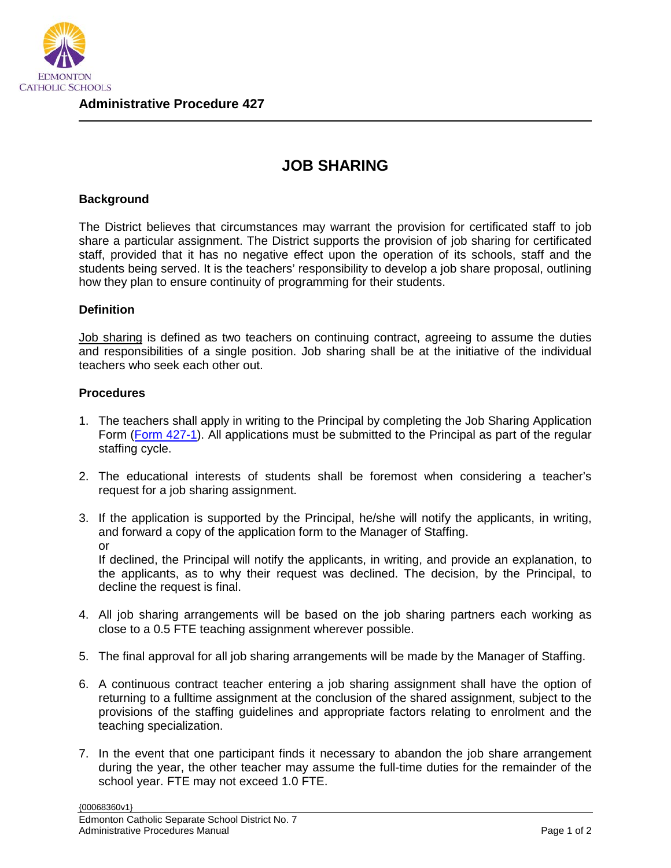

## **JOB SHARING**

## **Background**

The District believes that circumstances may warrant the provision for certificated staff to job share a particular assignment. The District supports the provision of job sharing for certificated staff, provided that it has no negative effect upon the operation of its schools, staff and the students being served. It is the teachers' responsibility to develop a job share proposal, outlining how they plan to ensure continuity of programming for their students.

## **Definition**

Job sharing is defined as two teachers on continuing contract, agreeing to assume the duties and responsibilities of a single position. Job sharing shall be at the initiative of the individual teachers who seek each other out.

## **Procedures**

- 1. The teachers shall apply in writing to the Principal by completing the Job Sharing Application Form [\(Form 427-1\)](https://edmontoncatholicschools.sharepoint.com/sites/D0100/Forms/Forms/AllItems.aspx?id=%2Fsites%2FD0100%2FForms%2FAP%20427%20Form%20427-1%20Job%20Sharing%20Application%20Form%20-%20Sept%2028%2E18%2EPDF&parent=%2Fsites%2FD0100%2FForms). All applications must be submitted to the Principal as part of the regular staffing cycle.
- 2. The educational interests of students shall be foremost when considering a teacher's request for a job sharing assignment.
- 3. If the application is supported by the Principal, he/she will notify the applicants, in writing, and forward a copy of the application form to the Manager of Staffing. or

If declined, the Principal will notify the applicants, in writing, and provide an explanation, to the applicants, as to why their request was declined. The decision, by the Principal, to decline the request is final.

- 4. All job sharing arrangements will be based on the job sharing partners each working as close to a 0.5 FTE teaching assignment wherever possible.
- 5. The final approval for all job sharing arrangements will be made by the Manager of Staffing.
- 6. A continuous contract teacher entering a job sharing assignment shall have the option of returning to a fulltime assignment at the conclusion of the shared assignment, subject to the provisions of the staffing guidelines and appropriate factors relating to enrolment and the teaching specialization.
- 7. In the event that one participant finds it necessary to abandon the job share arrangement during the year, the other teacher may assume the full-time duties for the remainder of the school year. FTE may not exceed 1.0 FTE.